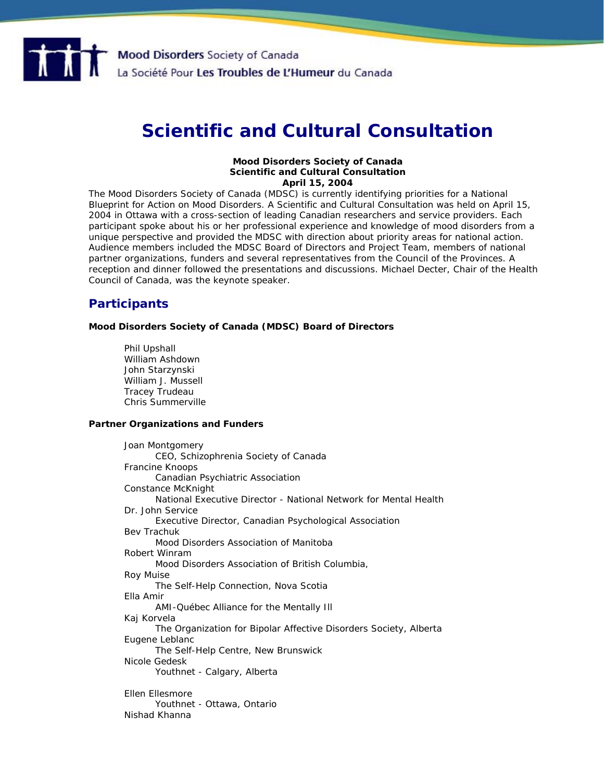

# **Scientific and Cultural Consultation**

#### **Mood Disorders Society of Canada Scientific and Cultural Consultation April 15, 2004**

The Mood Disorders Society of Canada (MDSC) is currently identifying priorities for a National Blueprint for Action on Mood Disorders. A Scientific and Cultural Consultation was held on April 15, 2004 in Ottawa with a cross-section of leading Canadian researchers and service providers. Each participant spoke about his or her professional experience and knowledge of mood disorders from a unique perspective and provided the MDSC with direction about priority areas for national action. Audience members included the MDSC Board of Directors and Project Team, members of national partner organizations, funders and several representatives from the Council of the Provinces. A reception and dinner followed the presentations and discussions. Michael Decter, Chair of the Health Council of Canada, was the keynote speaker.

## **Participants**

**Mood Disorders Society of Canada (MDSC) Board of Directors** 

Phil Upshall William Ashdown John Starzynski William J. Mussell Tracey Trudeau Chris Summerville

#### **Partner Organizations and Funders**

Joan Montgomery CEO, Schizophrenia Society of Canada Francine Knoops Canadian Psychiatric Association Constance McKnight National Executive Director - National Network for Mental Health Dr. John Service Executive Director, Canadian Psychological Association Bev Trachuk Mood Disorders Association of Manitoba Robert Winram Mood Disorders Association of British Columbia, Roy Muise The Self-Help Connection, Nova Scotia Ella Amir AMI-Québec Alliance for the Mentally Ill Kaj Korvela The Organization for Bipolar Affective Disorders Society, Alberta Eugene Leblanc The Self-Help Centre, New Brunswick Nicole Gedesk Youthnet - Calgary, Alberta Ellen Ellesmore Youthnet - Ottawa, Ontario Nishad Khanna